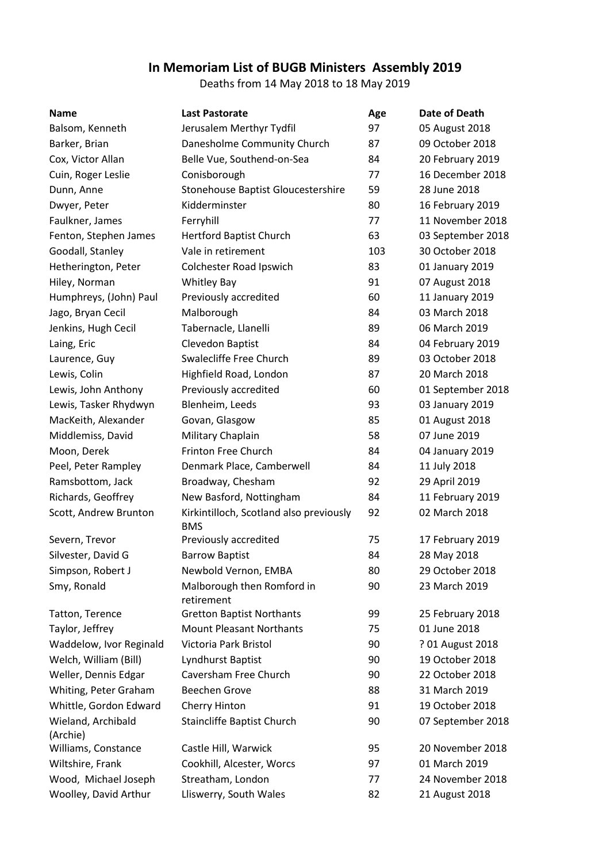## **In Memoriam List of BUGB Ministers Assembly 2019**

Deaths from 14 May 2018 to 18 May 2019

| <b>Name</b>                    | <b>Last Pastorate</b>                                 | Age | Date of Death     |
|--------------------------------|-------------------------------------------------------|-----|-------------------|
| Balsom, Kenneth                | Jerusalem Merthyr Tydfil                              | 97  | 05 August 2018    |
| Barker, Brian                  | Danesholme Community Church                           | 87  | 09 October 2018   |
| Cox, Victor Allan              | Belle Vue, Southend-on-Sea                            | 84  | 20 February 2019  |
| Cuin, Roger Leslie             | Conisborough                                          | 77  | 16 December 2018  |
| Dunn, Anne                     | Stonehouse Baptist Gloucestershire                    | 59  | 28 June 2018      |
| Dwyer, Peter                   | Kidderminster                                         | 80  | 16 February 2019  |
| Faulkner, James                | Ferryhill                                             | 77  | 11 November 2018  |
| Fenton, Stephen James          | <b>Hertford Baptist Church</b>                        | 63  | 03 September 2018 |
| Goodall, Stanley               | Vale in retirement                                    | 103 | 30 October 2018   |
| Hetherington, Peter            | Colchester Road Ipswich                               | 83  | 01 January 2019   |
| Hiley, Norman                  | <b>Whitley Bay</b>                                    | 91  | 07 August 2018    |
| Humphreys, (John) Paul         | Previously accredited                                 | 60  | 11 January 2019   |
| Jago, Bryan Cecil              | Malborough                                            | 84  | 03 March 2018     |
| Jenkins, Hugh Cecil            | Tabernacle, Llanelli                                  | 89  | 06 March 2019     |
| Laing, Eric                    | Clevedon Baptist                                      | 84  | 04 February 2019  |
| Laurence, Guy                  | Swalecliffe Free Church                               | 89  | 03 October 2018   |
| Lewis, Colin                   | Highfield Road, London                                | 87  | 20 March 2018     |
| Lewis, John Anthony            | Previously accredited                                 | 60  | 01 September 2018 |
| Lewis, Tasker Rhydwyn          | Blenheim, Leeds                                       | 93  | 03 January 2019   |
| MacKeith, Alexander            | Govan, Glasgow                                        | 85  | 01 August 2018    |
| Middlemiss, David              | Military Chaplain                                     | 58  | 07 June 2019      |
| Moon, Derek                    | <b>Frinton Free Church</b>                            | 84  | 04 January 2019   |
| Peel, Peter Rampley            | Denmark Place, Camberwell                             | 84  | 11 July 2018      |
| Ramsbottom, Jack               | Broadway, Chesham                                     | 92  | 29 April 2019     |
| Richards, Geoffrey             | New Basford, Nottingham                               | 84  | 11 February 2019  |
| Scott, Andrew Brunton          | Kirkintilloch, Scotland also previously<br><b>BMS</b> | 92  | 02 March 2018     |
| Severn, Trevor                 | Previously accredited                                 | 75  | 17 February 2019  |
| Silvester, David G             | <b>Barrow Baptist</b>                                 | 84  | 28 May 2018       |
| Simpson, Robert J              | Newbold Vernon, EMBA                                  | 80  | 29 October 2018   |
| Smy, Ronald                    | Malborough then Romford in<br>retirement              | 90  | 23 March 2019     |
| Tatton, Terence                | <b>Gretton Baptist Northants</b>                      | 99  | 25 February 2018  |
| Taylor, Jeffrey                | <b>Mount Pleasant Northants</b>                       | 75  | 01 June 2018      |
| Waddelow, Ivor Reginald        | Victoria Park Bristol                                 | 90  | ? 01 August 2018  |
| Welch, William (Bill)          | Lyndhurst Baptist                                     | 90  | 19 October 2018   |
| Weller, Dennis Edgar           | Caversham Free Church                                 | 90  | 22 October 2018   |
| Whiting, Peter Graham          | <b>Beechen Grove</b>                                  | 88  | 31 March 2019     |
| Whittle, Gordon Edward         | Cherry Hinton                                         | 91  | 19 October 2018   |
| Wieland, Archibald<br>(Archie) | Staincliffe Baptist Church                            | 90  | 07 September 2018 |
| Williams, Constance            | Castle Hill, Warwick                                  | 95  | 20 November 2018  |
| Wiltshire, Frank               | Cookhill, Alcester, Worcs                             | 97  | 01 March 2019     |
| Wood, Michael Joseph           | Streatham, London                                     | 77  | 24 November 2018  |
| Woolley, David Arthur          | Lliswerry, South Wales                                | 82  | 21 August 2018    |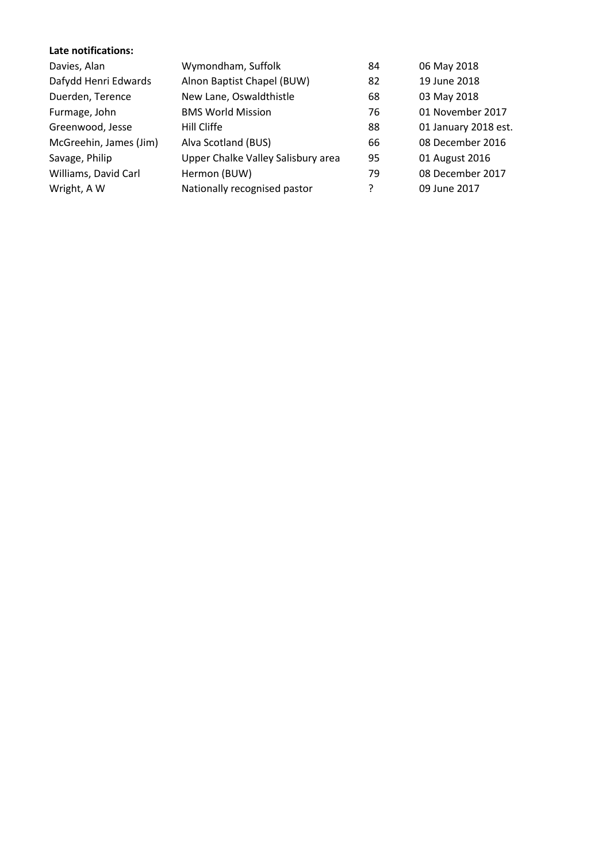## **Late notifications:**

| Davies, Alan           | Wymondham, Suffolk                 | 84 | 06 May 2018          |
|------------------------|------------------------------------|----|----------------------|
| Dafydd Henri Edwards   | Alnon Baptist Chapel (BUW)         | 82 | 19 June 2018         |
| Duerden, Terence       | New Lane, Oswaldthistle            | 68 | 03 May 2018          |
| Furmage, John          | <b>BMS World Mission</b>           | 76 | 01 November 2017     |
| Greenwood, Jesse       | Hill Cliffe                        | 88 | 01 January 2018 est. |
| McGreehin, James (Jim) | Alva Scotland (BUS)                | 66 | 08 December 2016     |
| Savage, Philip         | Upper Chalke Valley Salisbury area | 95 | 01 August 2016       |
| Williams, David Carl   | Hermon (BUW)                       | 79 | 08 December 2017     |
| Wright, A W            | Nationally recognised pastor       | ?  | 09 June 2017         |